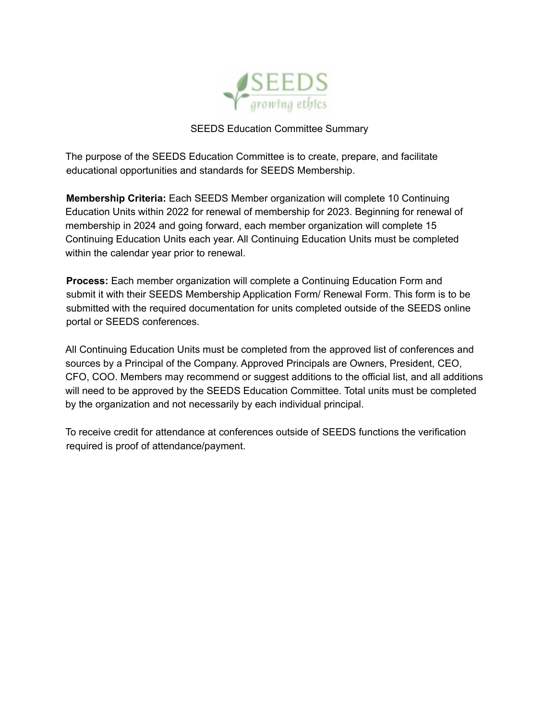

## SEEDS Education Committee Summary

The purpose of the SEEDS Education Committee is to create, prepare, and facilitate educational opportunities and standards for SEEDS Membership.

**Membership Criteria:** Each SEEDS Member organization will complete 10 Continuing Education Units within 2022 for renewal of membership for 2023. Beginning for renewal of membership in 2024 and going forward, each member organization will complete 15 Continuing Education Units each year. All Continuing Education Units must be completed within the calendar year prior to renewal.

**Process:** Each member organization will complete a Continuing Education Form and submit it with their SEEDS Membership Application Form/ Renewal Form. This form is to be submitted with the required documentation for units completed outside of the SEEDS online portal or SEEDS conferences.

All Continuing Education Units must be completed from the approved list of conferences and sources by a Principal of the Company. Approved Principals are Owners, President, CEO, CFO, COO. Members may recommend or suggest additions to the official list, and all additions will need to be approved by the SEEDS Education Committee. Total units must be completed by the organization and not necessarily by each individual principal.

To receive credit for attendance at conferences outside of SEEDS functions the verification required is proof of attendance/payment.